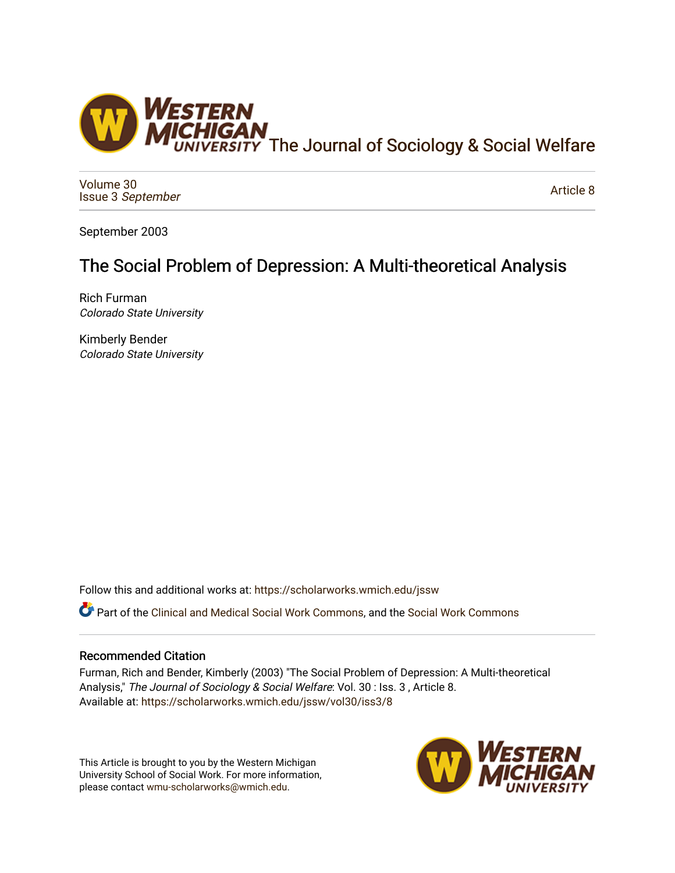

[Volume 30](https://scholarworks.wmich.edu/jssw/vol30) Issue 3 [September](https://scholarworks.wmich.edu/jssw/vol30/iss3)

[Article 8](https://scholarworks.wmich.edu/jssw/vol30/iss3/8) 

September 2003

# The Social Problem of Depression: A Multi-theoretical Analysis

Rich Furman Colorado State University

Kimberly Bender Colorado State University

Follow this and additional works at: [https://scholarworks.wmich.edu/jssw](https://scholarworks.wmich.edu/jssw?utm_source=scholarworks.wmich.edu%2Fjssw%2Fvol30%2Fiss3%2F8&utm_medium=PDF&utm_campaign=PDFCoverPages) 

**C**<sup> $\bullet$ </sup> Part of the [Clinical and Medical Social Work Commons,](http://network.bepress.com/hgg/discipline/712?utm_source=scholarworks.wmich.edu%2Fjssw%2Fvol30%2Fiss3%2F8&utm_medium=PDF&utm_campaign=PDFCoverPages) and the [Social Work Commons](http://network.bepress.com/hgg/discipline/713?utm_source=scholarworks.wmich.edu%2Fjssw%2Fvol30%2Fiss3%2F8&utm_medium=PDF&utm_campaign=PDFCoverPages)

# Recommended Citation

Furman, Rich and Bender, Kimberly (2003) "The Social Problem of Depression: A Multi-theoretical Analysis," The Journal of Sociology & Social Welfare: Vol. 30 : Iss. 3 , Article 8. Available at: [https://scholarworks.wmich.edu/jssw/vol30/iss3/8](https://scholarworks.wmich.edu/jssw/vol30/iss3/8?utm_source=scholarworks.wmich.edu%2Fjssw%2Fvol30%2Fiss3%2F8&utm_medium=PDF&utm_campaign=PDFCoverPages)

This Article is brought to you by the Western Michigan University School of Social Work. For more information, please contact [wmu-scholarworks@wmich.edu.](mailto:wmu-scholarworks@wmich.edu)

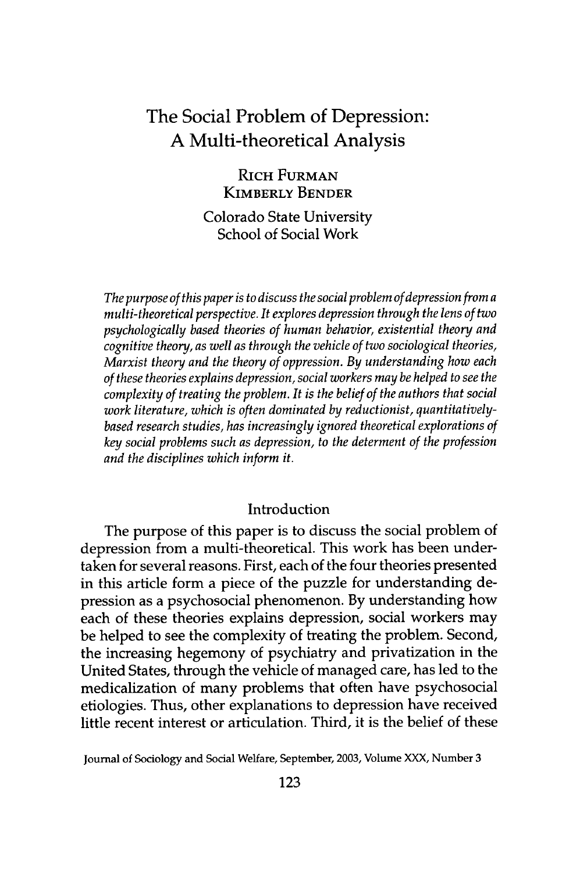# The Social Problem of Depression: **A** Multi-theoretical Analysis

RICH FURMAN KIMBERLY BENDER

Colorado State University School of Social Work

*The purpose of this paper is to discuss the social problem of depression from a multi-theoretical perspective. It explores depression through the lens of two psychologically based theories of human behavior, existential theory and cognitive theory, as well as through the vehicle of two sociological theories, Marxist theory and the theory of oppression. By understanding how each of these theories explains depression, social workers may be helped to see the complexity of treating the problem. It is the belief of the authors that social work literature, which is often dominated by reductionist, quantitativelybased research studies, has increasingly ignored theoretical explorations of key social problems such as depression, to the determent of the profession and the disciplines which inform it.*

#### Introduction

The purpose of this paper is to discuss the social problem of depression from a multi-theoretical. This work has been undertaken for several reasons. First, each of the four theories presented in this article form a piece of the puzzle for understanding depression as a psychosocial phenomenon. By understanding how each of these theories explains depression, social workers may be helped to see the complexity of treating the problem. Second, the increasing hegemony of psychiatry and privatization in the United States, through the vehicle of managed care, has led to the medicalization of many problems that often have psychosocial etiologies. Thus, other explanations to depression have received little recent interest or articulation. Third, it is the belief of these

Journal of Sociology and Social Welfare, September, 2003, Volume XXX, Number 3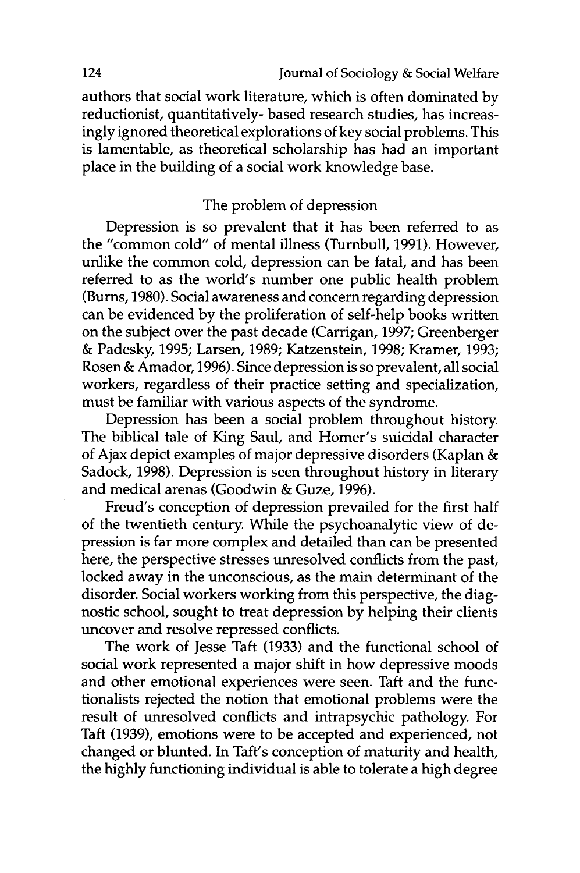authors that social work literature, which is often dominated by reductionist, quantitatively- based research studies, has increasingly ignored theoretical explorations of key social problems. This is lamentable, as theoretical scholarship has had an important place in the building of a social work knowledge base.

#### The problem of depression

Depression is so prevalent that it has been referred to as the "common cold" of mental illness (Turnbull, 1991). However, unlike the common cold, depression can be fatal, and has been referred to as the world's number one public health problem (Burns, 1980). Social awareness and concern regarding depression can be evidenced by the proliferation of self-help books written on the subject over the past decade (Carrigan, 1997; Greenberger & Padesky, 1995; Larsen, 1989; Katzenstein, 1998; Kramer, 1993; Rosen & Amador, 1996). Since depression is so prevalent, all social workers, regardless of their practice setting and specialization, must be familiar with various aspects of the syndrome.

Depression has been a social problem throughout history. The biblical tale of King Saul, and Homer's suicidal character of Ajax depict examples of major depressive disorders (Kaplan & Sadock, 1998). Depression is seen throughout history in literary and medical arenas (Goodwin & Guze, 1996).

Freud's conception of depression prevailed for the first half of the twentieth century. While the psychoanalytic view of depression is far more complex and detailed than can be presented here, the perspective stresses unresolved conflicts from the past, locked away in the unconscious, as the main determinant of the disorder. Social workers working from this perspective, the diagnostic school, sought to treat depression by helping their clients uncover and resolve repressed conflicts.

The work of Jesse Taft (1933) and the functional school of social work represented a major shift in how depressive moods and other emotional experiences were seen. Taft and the functionalists rejected the notion that emotional problems were the result of unresolved conflicts and intrapsychic pathology. For Taft (1939), emotions were to be accepted and experienced, not changed or blunted. In Taft's conception of maturity and health, the highly functioning individual is able to tolerate a high degree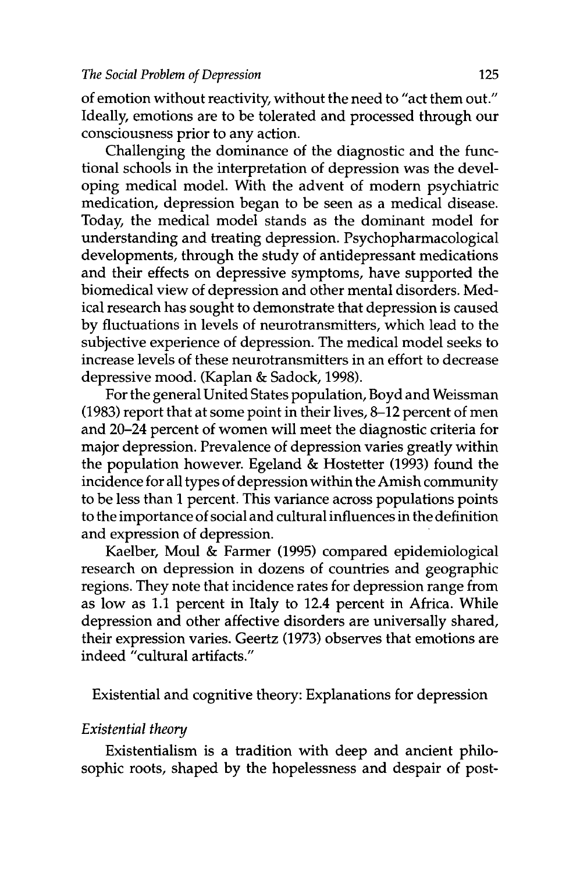of emotion without reactivity, without the need to "act them out." Ideally, emotions are to be tolerated and processed through our consciousness prior to any action.

Challenging the dominance of the diagnostic and the functional schools in the interpretation of depression was the developing medical model. With the advent of modern psychiatric medication, depression began to be seen as a medical disease. Today, the medical model stands as the dominant model for understanding and treating depression. Psychopharmacological developments, through the study of antidepressant medications and their effects on depressive symptoms, have supported the biomedical view of depression and other mental disorders. Medical research has sought to demonstrate that depression is caused **by** fluctuations in levels of neurotransmitters, which lead to the subjective experience of depression. The medical model seeks to increase levels of these neurotransmitters in an effort to decrease depressive mood. (Kaplan **&** Sadock, **1998).**

For the general United States population, Boyd and Weissman **(1983)** report that at some point in their lives, **8-12** percent of men and 20-24 percent of women will meet the diagnostic criteria for major depression. Prevalence of depression varies greatly within the population however. Egeland & Hostetter (1993) found the incidence for all types of depression within the Amish community to be less than **I** percent. This variance across populations points to the importance of social and cultural influences in the definition and expression of depression.

Kaelber, Moul & Farmer (1995) compared epidemiological research on depression in dozens of countries and geographic regions. They note that incidence rates for depression range from as low as 1.1 percent in Italy to 12.4 percent in Africa. While depression and other affective disorders are universally shared, their expression varies. Geertz (1973) observes that emotions are indeed "cultural artifacts."

Existential and cognitive theory: Explanations for depression

## *Existential theory*

Existentialism is a tradition with deep and ancient philosophic roots, shaped by the hopelessness and despair of post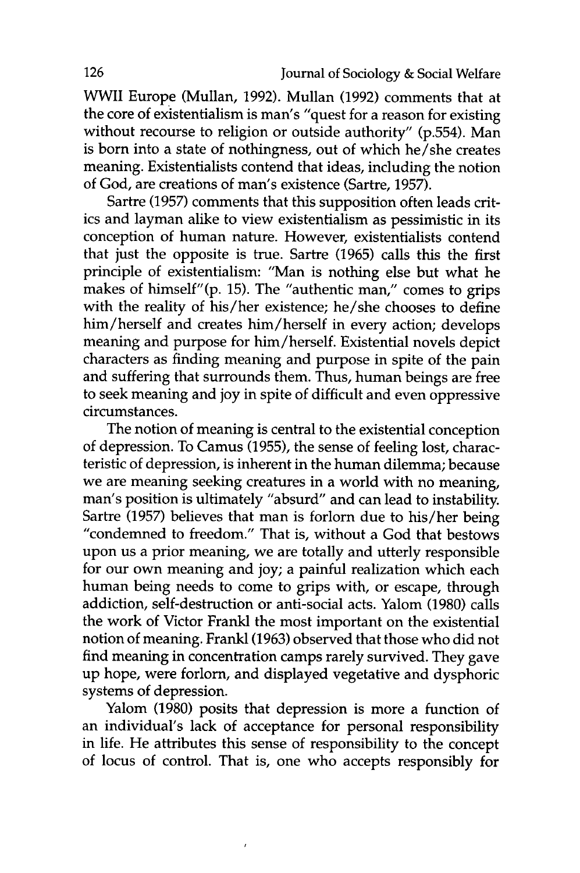WWII Europe (Mullan, 1992). Mullan (1992) comments that at the core of existentialism is man's "quest for a reason for existing without recourse to religion or outside authority" (p.554). Man is born into a state of nothingness, out of which he/she creates meaning. Existentialists contend that ideas, including the notion of God, are creations of man's existence (Sartre, 1957).

Sartre (1957) comments that this supposition often leads critics and layman alike to view existentialism as pessimistic in its conception of human nature. However, existentialists contend that just the opposite is true. Sartre (1965) calls this the first principle of existentialism: "Man is nothing else but what he makes of himself"(p. 15). The "authentic man," comes to grips with the reality of his/her existence; he/she chooses to define him/herself and creates him/herself in every action; develops meaning and purpose for him/herself. Existential novels depict characters as finding meaning and purpose in spite of the pain and suffering that surrounds them. Thus, human beings are free to seek meaning and joy in spite of difficult and even oppressive circumstances.

The notion of meaning is central to the existential conception of depression. To Camus (1955), the sense of feeling lost, characteristic of depression, is inherent in the human dilemma; because we are meaning seeking creatures in a world with no meaning, man's position is ultimately "absurd" and can lead to instability. Sartre (1957) believes that man is forlorn due to his/her being "condemned to freedom." That is, without a God that bestows upon us a prior meaning, we are totally and utterly responsible for our own meaning and joy; a painful realization which each human being needs to come to grips with, or escape, through addiction, self-destruction or anti-social acts. Yalom (1980) calls the work of Victor Frankl the most important on the existential notion of meaning. Frankl (1963) observed that those who did not find meaning in concentration camps rarely survived. They gave up hope, were forlorn, and displayed vegetative and dysphoric systems of depression.

Yalom (1980) posits that depression is more a function of an individual's lack of acceptance for personal responsibility in life. He attributes this sense of responsibility to the concept of locus of control. That is, one who accepts responsibly for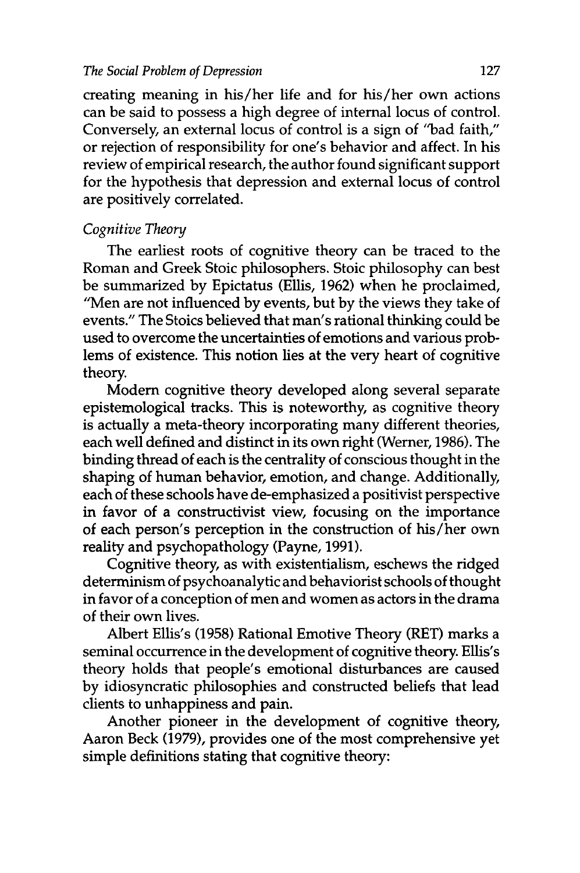creating meaning in his/her life and for his/her own actions can be said to possess a high degree of internal locus of control. Conversely, an external locus of control is a sign of "bad faith," or rejection of responsibility for one's behavior and affect. In his review of empirical research, the author found significant support for the hypothesis that depression and external locus of control are positively correlated.

#### *Cognitive Theory*

The earliest roots of cognitive theory can be traced to the Roman and Greek Stoic philosophers. Stoic philosophy can best be summarized by Epictatus (Ellis, 1962) when he proclaimed, "Men are not influenced by events, but by the views they take of events." The Stoics believed that man's rational thinking could be used to overcome the uncertainties of emotions and various problems of existence. This notion lies at the very heart of cognitive theory.

Modern cognitive theory developed along several separate epistemological tracks. This is noteworthy, as cognitive theory is actually a meta-theory incorporating many different theories, each well defined and distinct in its own right (Werner, 1986). The binding thread of each is the centrality of conscious thought in the shaping of human behavior, emotion, and change. Additionally, each of these schools have de-emphasized a positivist perspective in favor of a constructivist view, focusing on the importance of each person's perception in the construction of his/her own reality and psychopathology (Payne, 1991).

Cognitive theory, as with existentialism, eschews the ridged determinism of psychoanalytic and behaviorist schools of thought in favor of a conception of men and women as actors in the drama of their own lives.

Albert Ellis's (1958) Rational Emotive Theory (RET) marks a seminal occurrence in the development of cognitive theory. Ellis's theory holds that people's emotional disturbances are caused by idiosyncratic philosophies and constructed beliefs that lead clients to unhappiness and pain.

Another pioneer in the development of cognitive theory, Aaron Beck (1979), provides one of the most comprehensive yet simple definitions stating that cognitive theory: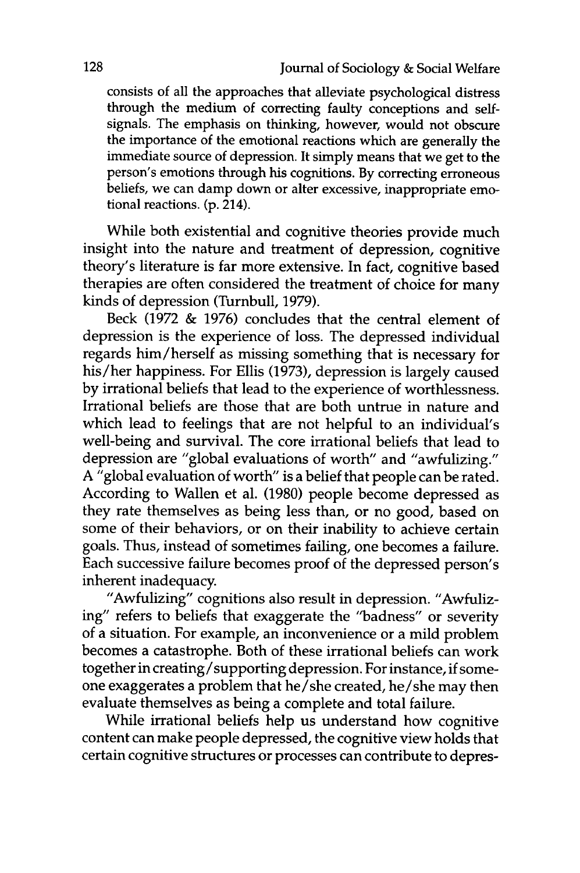consists of all the approaches that alleviate psychological distress through the medium of correcting faulty conceptions and selfsignals. The emphasis on thinking, however, would not obscure the importance of the emotional reactions which are generally the immediate source of depression. It simply means that we get to the person's emotions through his cognitions. **By** correcting erroneous beliefs, we can damp down or alter excessive, inappropriate emotional reactions. **(p.** 214).

While both existential and cognitive theories provide much insight into the nature and treatment of depression, cognitive theory's literature is far more extensive. In fact, cognitive based therapies are often considered the treatment of choice for many kinds of depression (Turnbull, **1979).**

Beck **(1972 & 1976)** concludes that the central element of depression is the experience of loss. The depressed individual regards him/herself as missing something that is necessary for his/her happiness. For Ellis **(1973),** depression is largely caused **by** irrational beliefs that lead to the experience of worthlessness. Irrational beliefs are those that are both untrue in nature and which lead to feelings that are not helpful to an individual's well-being and survival. The core irrational beliefs that lead to depression are "global evaluations of worth" and "awfulizing." **A** "global evaluation of worth" is a belief that people can be rated. According to Wallen et al. **(1980)** people become depressed as they rate themselves as being less than, or no good, based on some of their behaviors, or on their inability to achieve certain goals. Thus, instead of sometimes failing, one becomes a failure. Each successive failure becomes proof of the depressed person's inherent inadequacy.

"Awfulizing" cognitions also result in depression. "Awfulizing" refers to beliefs that exaggerate the "badness" or severity of a situation. For example, an inconvenience or a mild problem becomes a catastrophe. Both of these irrational beliefs can work together in creating/supporting depression. For instance, if someone exaggerates a problem that he/she created, he/she may then evaluate themselves as being a complete and total failure.

While irrational beliefs help us understand how cognitive content can make people depressed, the cognitive view holds that certain cognitive structures or processes can contribute to depres-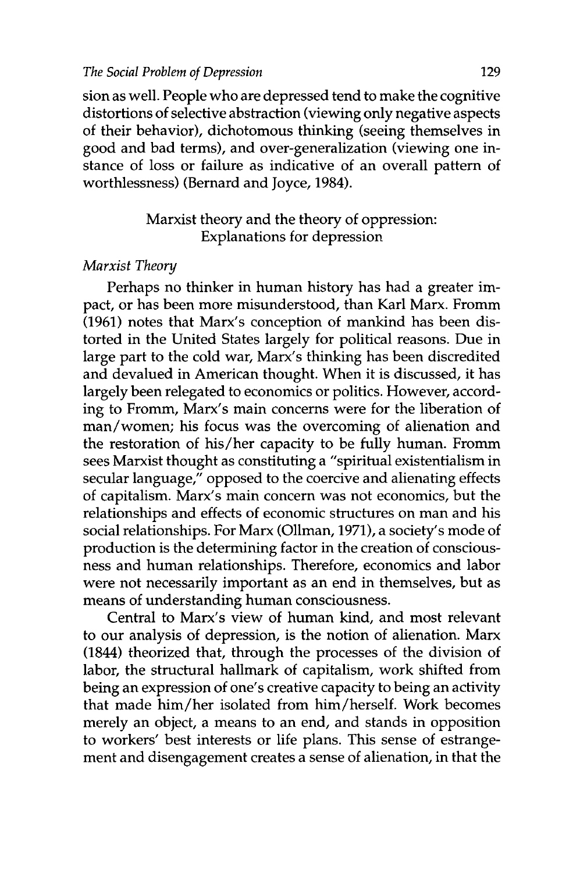#### *The Social Problem of Depression* **129**

sion as well. People who are depressed tend to make the cognitive distortions of selective abstraction (viewing only negative aspects of their behavior), dichotomous thinking (seeing themselves in good and bad terms), and over-generalization (viewing one instance of loss or failure as indicative of an overall pattern of worthlessness) (Bernard and Joyce, 1984).

## Marxist theory and the theory of oppression: Explanations for depression

#### *Marxist Theory*

Perhaps no thinker in human history has had a greater impact, or has been more misunderstood, than Karl Marx. Fromm (1961) notes that Marx's conception of mankind has been distorted in the United States largely for political reasons. Due in large part to the cold war, Marx's thinking has been discredited and devalued in American thought. When it is discussed, it has largely been relegated to economics or politics. However, according to Fromm, Marx's main concerns were for the liberation of man/women; his focus was the overcoming of alienation and the restoration of his/her capacity to be fully human. Fromm sees Marxist thought as constituting a "spiritual existentialism in secular language," opposed to the coercive and alienating effects of capitalism. Marx's main concern was not economics, but the relationships and effects of economic structures on man and his social relationships. For Marx (Ollman, 1971), a society's mode of production is the determining factor in the creation of consciousness and human relationships. Therefore, economics and labor were not necessarily important as an end in themselves, but as means of understanding human consciousness.

Central to Marx's view of human kind, and most relevant to our analysis of depression, is the notion of alienation. Marx (1844) theorized that, through the processes of the division of labor, the structural hallmark of capitalism, work shifted from being an expression of one's creative capacity to being an activity that made him/her isolated from him/herself. Work becomes merely an object, a means to an end, and stands in opposition to workers' best interests or life plans. This sense of estrangement and disengagement creates a sense of alienation, in that the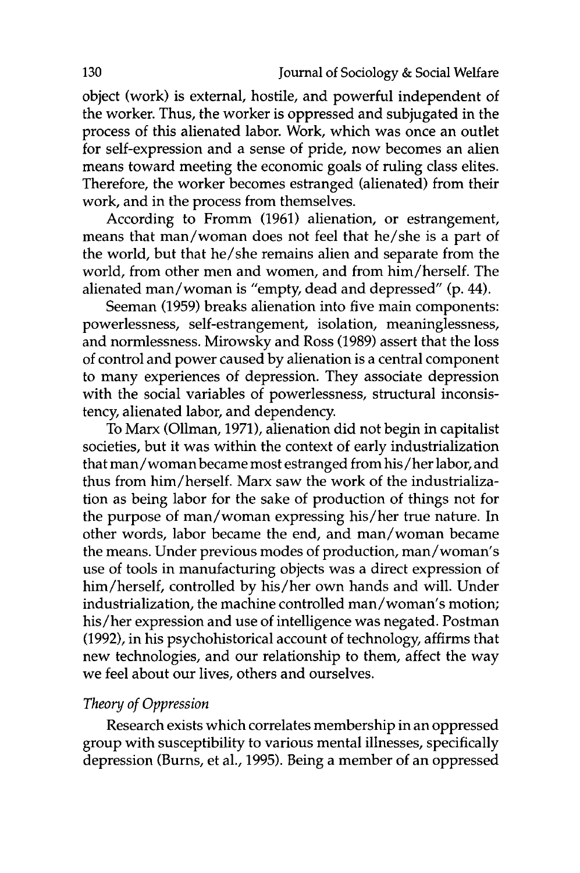object (work) is external, hostile, and powerful independent of the worker. Thus, the worker is oppressed and subjugated in the process of this alienated labor. Work, which was once an outlet for self-expression and a sense of pride, now becomes an alien means toward meeting the economic goals of ruling class elites. Therefore, the worker becomes estranged (alienated) from their work, and in the process from themselves.

According to Fromm (1961) alienation, or estrangement, means that man/woman does not feel that he/she is a part of the world, but that he/she remains alien and separate from the world, from other men and women, and from him/herself. The alienated man/woman is "empty, dead and depressed" (p. 44).

Seeman (1959) breaks alienation into five main components: powerlessness, self-estrangement, isolation, meaninglessness, and normlessness. Mirowsky and Ross (1989) assert that the loss of control and power caused by alienation is a central component to many experiences of depression. They associate depression with the social variables of powerlessness, structural inconsistency, alienated labor, and dependency.

To Marx (Ollman, 1971), alienation did not begin in capitalist societies, but it was within the context of early industrialization that man/woman became most estranged from his/her labor, and thus from him/herself. Marx saw the work of the industrialization as being labor for the sake of production of things not for the purpose of man/woman expressing his/her true nature. In other words, labor became the end, and man/woman became the means. Under previous modes of production, man/woman's use of tools in manufacturing objects was a direct expression of him/herself, controlled by his/her own hands and will. Under industrialization, the machine controlled man/woman's motion; his/her expression and use of intelligence was negated. Postman (1992), in his psychohistorical account of technology, affirms that new technologies, and our relationship to them, affect the way we feel about our lives, others and ourselves.

## *Theory of Oppression*

Research exists which correlates membership in an oppressed group with susceptibility to various mental illnesses, specifically depression (Burns, et al., 1995). Being a member of an oppressed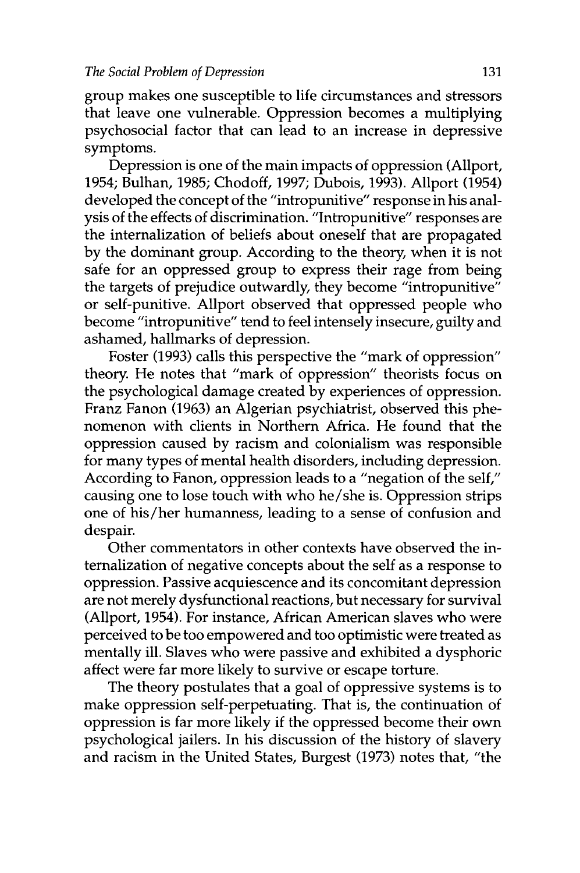group makes one susceptible to life circumstances and stressors that leave one vulnerable. Oppression becomes a multiplying psychosocial factor that can lead to an increase in depressive symptoms.

Depression is one of the main impacts of oppression (Allport, 1954; Bulhan, 1985; Chodoff, 1997; Dubois, 1993). Allport (1954) developed the concept of the "intropunitive" response in his analysis of the effects of discrimination. "Intropunitive" responses are the internalization of beliefs about oneself that are propagated by the dominant group. According to the theory, when it is not safe for an oppressed group to express their rage from being the targets of prejudice outwardly, they become "intropunitive" or self-punitive. Allport observed that oppressed people who become "intropunitive" tend to feel intensely insecure, guilty and ashamed, hallmarks of depression.

Foster (1993) calls this perspective the "mark of oppression" theory. He notes that "mark of oppression" theorists focus on the psychological damage created by experiences of oppression. Franz Fanon (1963) an Algerian psychiatrist, observed this phenomenon with clients in Northern Africa. He found that the oppression caused by racism and colonialism was responsible for many types of mental health disorders, including depression. According to Fanon, oppression leads to a "negation of the self," causing one to lose touch with who he/she is. Oppression strips one of his/her humanness, leading to a sense of confusion and despair.

Other commentators in other contexts have observed the internalization of negative concepts about the self as a response to oppression. Passive acquiescence and its concomitant depression are not merely dysfunctional reactions, but necessary for survival (Allport, 1954). For instance, African American slaves who were perceived to be too empowered and too optimistic were treated as mentally ill. Slaves who were passive and exhibited a dysphoric affect were far more likely to survive or escape torture.

The theory postulates that a goal of oppressive systems is to make oppression self-perpetuating. That is, the continuation of oppression is far more likely if the oppressed become their own psychological jailers. In his discussion of the history of slavery and racism in the United States, Burgest (1973) notes that, "the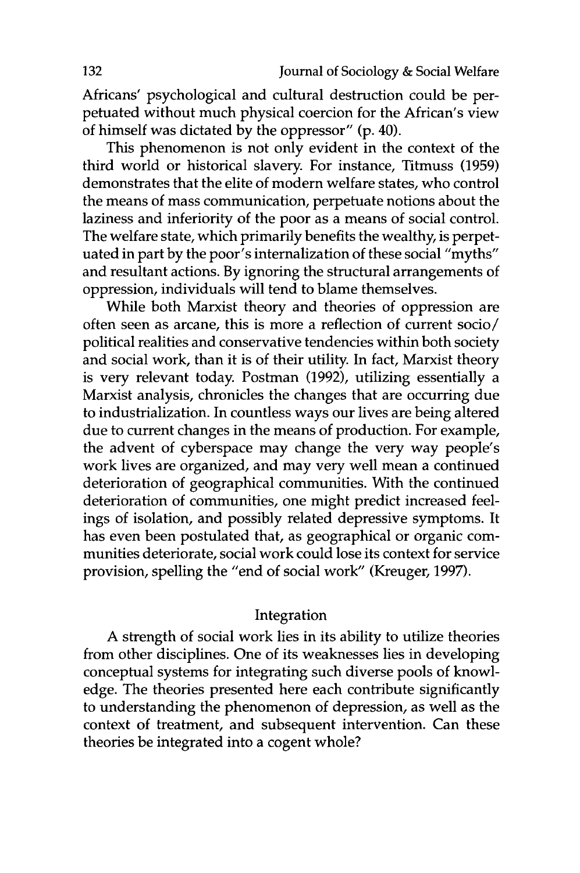Africans' psychological and cultural destruction could be perpetuated without much physical coercion for the African's view of himself was dictated by the oppressor" (p. 40).

This phenomenon is not only evident in the context of the third world or historical slavery. For instance, Titmuss (1959) demonstrates that the elite of modern welfare states, who control the means of mass communication, perpetuate notions about the laziness and inferiority of the poor as a means of social control. The welfare state, which primarily benefits the wealthy, is perpetuated in part by the poor's internalization of these social "myths" and resultant actions. By ignoring the structural arrangements of oppression, individuals will tend to blame themselves.

While both Marxist theory and theories of oppression are often seen as arcane, this is more a reflection of current socio/ political realities and conservative tendencies within both society and social work, than it is of their utility. In fact, Marxist theory is very relevant today. Postman (1992), utilizing essentially a Marxist analysis, chronicles the changes that are occurring due to industrialization. In countless ways our lives are being altered due to current changes in the means of production. For example, the advent of cyberspace may change the very way people's work lives are organized, and may very well mean a continued deterioration of geographical communities. With the continued deterioration of communities, one might predict increased feelings of isolation, and possibly related depressive symptoms. It has even been postulated that, as geographical or organic communities deteriorate, social work could lose its context for service provision, spelling the "end of social work" (Kreuger, 1997).

# Integration

A strength of social work lies in its ability to utilize theories from other disciplines. One of its weaknesses lies in developing conceptual systems for integrating such diverse pools of knowledge. The theories presented here each contribute significantly to understanding the phenomenon of depression, as well as the context of treatment, and subsequent intervention. Can these theories be integrated into a cogent whole?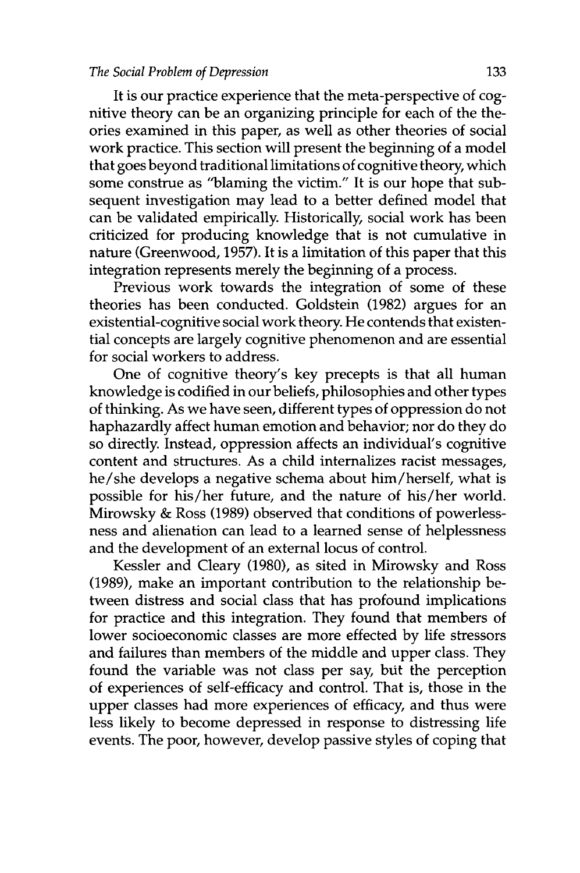It is our practice experience that the meta-perspective of cognitive theory can be an organizing principle for each of the theories examined in this paper, as well as other theories of social work practice. This section will present the beginning of a model that goes beyond traditional limitations of cognitive theory, which some construe as "blaming the victim." It is our hope that subsequent investigation may lead to a better defined model that can be validated empirically. Historically, social work has been criticized for producing knowledge that is not cumulative in nature (Greenwood, 1957). It is a limitation of this paper that this integration represents merely the beginning of a process.

Previous work towards the integration of some of these theories has been conducted. Goldstein (1982) argues for an existential-cognitive social work theory. He contends that existential concepts are largely cognitive phenomenon and are essential for social workers to address.

One of cognitive theory's key precepts is that all human knowledge is codified in our beliefs, philosophies and other types of thinking. As we have seen, different types of oppression do not haphazardly affect human emotion and behavior; nor do they do so directly. Instead, oppression affects an individual's cognitive content and structures. As a child internalizes racist messages, he/she develops a negative schema about him/herself, what is possible for his/her future, and the nature of his/her world. Mirowsky & Ross (1989) observed that conditions of powerlessness and alienation can lead to a learned sense of helplessness and the development of an external locus of control.

Kessler and Cleary (1980), as sited in Mirowsky and Ross (1989), make an important contribution to the relationship between distress and social class that has profound implications for practice and this integration. They found that members of lower socioeconomic classes are more effected by life stressors and failures than members of the middle and upper class. They found the variable was not class per say, but the perception of experiences of self-efficacy and control. That is, those in the upper classes had more experiences of efficacy, and thus were less likely to become depressed in response to distressing life events. The poor, however, develop passive styles of coping that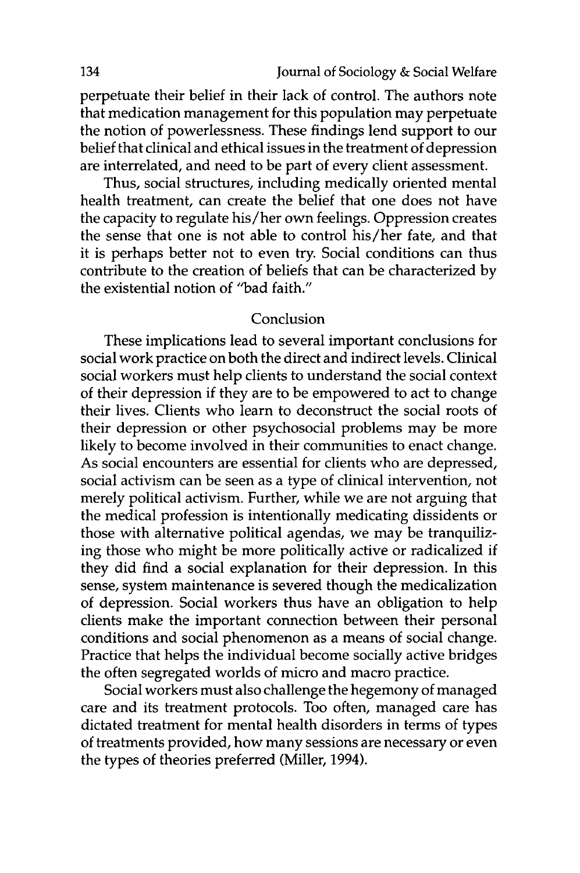perpetuate their belief in their lack of control. The authors note that medication management for this population may perpetuate the notion of powerlessness. These findings lend support to our belief that clinical and ethical issues in the treatment of depression are interrelated, and need to be part of every client assessment.

Thus, social structures, including medically oriented mental health treatment, can create the belief that one does not have the capacity to regulate his/her own feelings. Oppression creates the sense that one is not able to control his/her fate, and that it is perhaps better not to even try. Social conditions can thus contribute to the creation of beliefs that can be characterized by the existential notion of "bad faith."

#### Conclusion

These implications lead to several important conclusions for social work practice on both the direct and indirect levels. Clinical social workers must help clients to understand the social context of their depression if they are to be empowered to act to change their lives. Clients who learn to deconstruct the social roots of their depression or other psychosocial problems may be more likely to become involved in their communities to enact change. As social encounters are essential for clients who are depressed, social activism can be seen as a type of clinical intervention, not merely political activism. Further, while we are not arguing that the medical profession is intentionally medicating dissidents or those with alternative political agendas, we may be tranquilizing those who might be more politically active or radicalized if they did find a social explanation for their depression. In this sense, system maintenance is severed though the medicalization of depression. Social workers thus have an obligation to help clients make the important connection between their personal conditions and social phenomenon as a means of social change. Practice that helps the individual become socially active bridges the often segregated worlds of micro and macro practice.

Social workers must also challenge the hegemony of managed care and its treatment protocols. Too often, managed care has dictated treatment for mental health disorders in terms of types of treatments provided, how many sessions are necessary or even the types of theories preferred (Miller, 1994).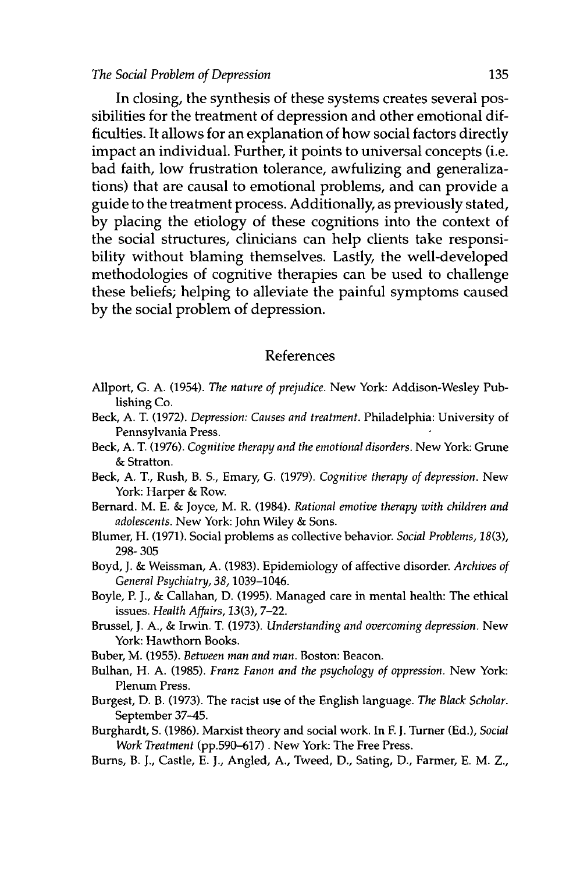#### *The Social Problem of Depression* **135**

In closing, the synthesis of these systems creates several possibilities for the treatment of depression and other emotional difficulties. It allows for an explanation of how social factors directly impact an individual. Further, it points to universal concepts (i.e. bad faith, low frustration tolerance, awfulizing and generalizations) that are causal to emotional problems, and can provide a guide to the treatment process. Additionally, as previously stated, **by** placing the etiology of these cognitions into the context of the social structures, clinicians can help clients take responsibility without blaming themselves. Lastly, the well-developed methodologies of cognitive therapies can be used to challenge these beliefs; helping to alleviate the painful symptoms caused **by** the social problem of depression.

#### References

- Allport, **G. A.** (1954). *The nature of prejudice.* New York: Addison-Wesley Publishing Co.
- Beck, **A.** T. **(1972).** *Depression: Causes and treatment.* Philadelphia: University of Pennsylvania Press.
- Beck, **A.** T. **(1976).** *Cognitive therapy and the emotional disorders.* New York: Grune **&** Stratton.
- Beck, **A.** T., Rush, B. **S.,** Emary, **G. (1979).** *Cognitive therapy of depression.* New York: Harper **&** Row.
- Bernard. M. **E. &** Joyce, M. R. (1984). *Rational emotive therapy with children and adolescents.* New York: John Wiley **&** Sons.
- Blumer, H. **(1971).** Social problems as collective behavior. *Social Problems, 18(3),* **298- 305**
- Boyd, **J. &** Weissman, **A. (1983).** Epidemiology of affective disorder. *Archives of General Psychiatry, 38,* 1039-1046.
- Boyle, P. **J., &** Callahan, **D. (1995).** Managed care in mental health: The ethical issues. *Health Affairs,* **13(3), 7-22.**
- Brussel, **J. A., &** Irwin. T. **(1973).** *Understanding and overcoming depression.* New York: Hawthorn Books.
- Buber, M. **(1955).** *Between man and man.* Boston: Beacon.
- Bulhan, H. **A. (1985).** *Franz Fanon and the psychology of oppression.* New York: Plenum Press.
- Burgest, **D.** B. **(1973).** The racist use of the English language. *The Black Scholar.* September **37-45.**
- Burghardt, **S. (1986).** Marxist theory and social work. In **F J.** Turner **(Ed.),** *Social Work Treatment* **(pp.590-617).** New York: The Free Press.
- Burns, B. **J.,** Castle, **E. J.,** Angled, **A.,** Tweed, **D.,** Sating, **D.,** Farmer, **E.** M. Z.,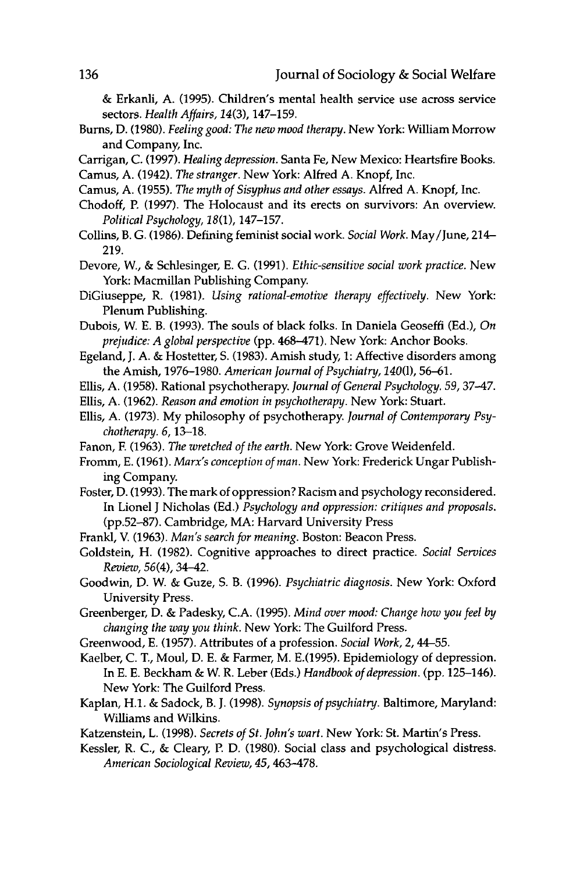& Erkanli, A. (1995). Children's mental health service use across service sectors. *Health Affairs,* 14(3), 147-159.

- Bums, D. (1980). *Feeling good: The new mood therapy.* New York: William Morrow and Company, Inc.
- Carrigan, C. (1997). *Healing depression.* Santa Fe, New Mexico: Heartsfire Books.
- Camus, A. (1942). *The stranger.* New York: Alfred A. Knopf, Inc.
- Camus, A. (1955). *The myth of Sisyphus and other essays.* Alfred A. Knopf, Inc.
- Chodoff, P. (1997). The Holocaust and its erects on survivors: An overview. *Political Psychology, 18(1),* 147-157.
- Collins, B. G. (1986). Defining feminist social work. *Social Work.* May/June, 214- 219.
- Devore, W., & Schlesinger, E. **G.** (1991). *Ethic-sensitive social work practice.* New York: Macmillan Publishing Company
- DiGiuseppe, R. (1981). *Using rational-emotive therapy effectively.* New York: Plenum Publishing.
- Dubois, W. E. B. (1993). The souls of black folks. In Daniela Geoseffi (Ed.), *On prejudice: A global perspective* (pp. 468-471). New York: Anchor Books.
- Egeland, J. A. & Hostetter, S. (1983). Amish study, 1: Affective disorders among the Amish, 1976-1980. *American Journal of Psychiatry, 140(1),* 56-61.
- Ellis, A. (1958). Rational psychotherapy. *Journal of General Psychology. 59,* 37-47.
- Ellis, A. (1962). *Reason and emotion in psychotherapy.* New York: Stuart.
- Ellis, A. (1973). My philosophy of psychotherapy. *Journal of Contemporary Psychotherapy. 6,* 13-18.
- Fanon, F. (1963). *The wretched of the earth.* New York: Grove Weidenfeld.
- Fromm, E. (1961). *Marx's conception of man.* New York: Frederick Ungar Publishing Company.
- Foster, D. (1993). The mark of oppression? Racism and psychology reconsidered. In Lionel J Nicholas (Ed.) *Psychology and oppression: critiques and proposals.* (pp.52-87). Cambridge, MA: Harvard University Press
- Frankl, V. (1963). *Man's search for meaning.* Boston: Beacon Press.
- Goldstein, H. (1982). Cognitive approaches to direct practice. *Social Services Review, 56(4),* 34-42.
- Goodwin, D. W. & Guze, S. B. (1996). *Psychiatric diagnosis.* New York: Oxford University Press.
- Greenberger, D. & Padesky, C.A. (1995). *Mind over mood: Change how you feel by changing the way you think.* New York: The Guilford Press.
- Greenwood, E. (1957). Attributes of a profession. *Social Work, 2,* 44-55.
- Kaelber, C. T., Moul, D. **E.** & Farmer, M. E.(1995). Epidemiology of depression. In E. E. Beckham & W. R. Leber (Eds.) *Handbook of depression.* (pp. 125-146). New York: The Guilford Press.
- Kaplan, H.1. & Sadock, B. J. (1998). *Synopsis of psychiatry.* Baltimore, Maryland: Williams and Wilkins.
- Katzenstein, L. (1998). *Secrets of St. John's wart.* New York: St. Martin's Press.
- Kessler, R. C., & Cleary, P. D. (1980). Social class and psychological distress. *American Sociological Review, 45,* 463-478.